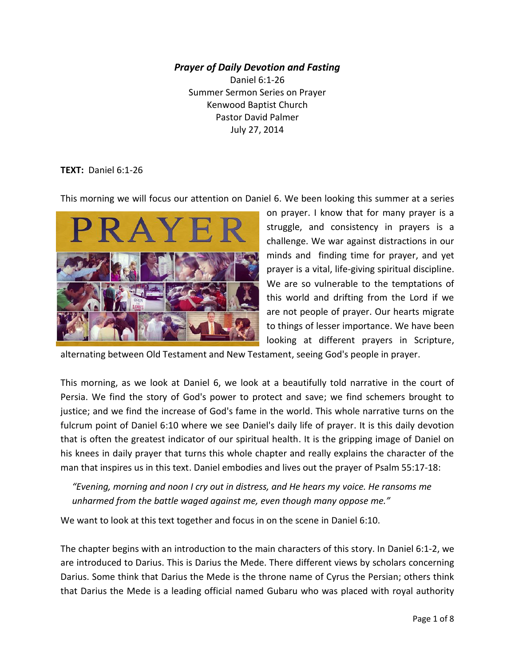#### *Prayer of Daily Devotion and Fasting*

Daniel 6:1-26 Summer Sermon Series on Prayer Kenwood Baptist Church Pastor David Palmer July 27, 2014

#### **TEXT:** Daniel 6:1-26

This morning we will focus our attention on Daniel 6. We been looking this summer at a series



on prayer. I know that for many prayer is a struggle, and consistency in prayers is a challenge. We war against distractions in our minds and finding time for prayer, and yet prayer is a vital, life-giving spiritual discipline. We are so vulnerable to the temptations of this world and drifting from the Lord if we are not people of prayer. Our hearts migrate to things of lesser importance. We have been looking at different prayers in Scripture,

alternating between Old Testament and New Testament, seeing God's people in prayer.

This morning, as we look at Daniel 6, we look at a beautifully told narrative in the court of Persia. We find the story of God's power to protect and save; we find schemers brought to justice; and we find the increase of God's fame in the world. This whole narrative turns on the fulcrum point of Daniel 6:10 where we see Daniel's daily life of prayer. It is this daily devotion that is often the greatest indicator of our spiritual health. It is the gripping image of Daniel on his knees in daily prayer that turns this whole chapter and really explains the character of the man that inspires us in this text. Daniel embodies and lives out the prayer of Psalm 55:17-18:

 *"Evening, morning and noon I cry out in distress, and He hears my voice. He ransoms me unharmed from the battle waged against me, even though many oppose me."*

We want to look at this text together and focus in on the scene in Daniel 6:10.

The chapter begins with an introduction to the main characters of this story. In Daniel 6:1-2, we are introduced to Darius. This is Darius the Mede. There different views by scholars concerning Darius. Some think that Darius the Mede is the throne name of Cyrus the Persian; others think that Darius the Mede is a leading official named Gubaru who was placed with royal authority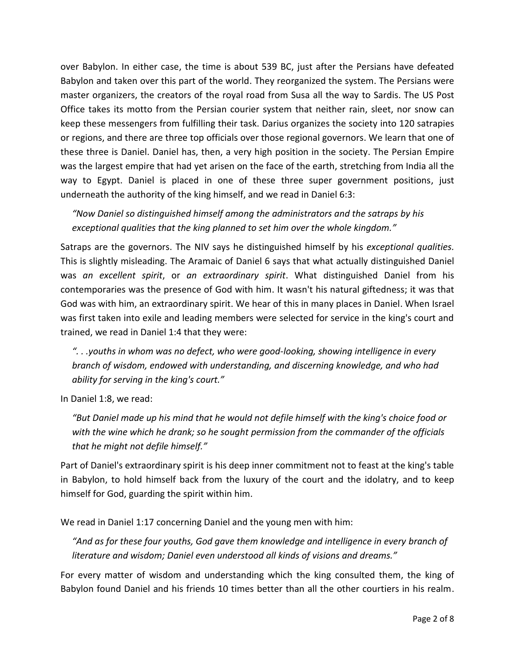over Babylon. In either case, the time is about 539 BC, just after the Persians have defeated Babylon and taken over this part of the world. They reorganized the system. The Persians were master organizers, the creators of the royal road from Susa all the way to Sardis. The US Post Office takes its motto from the Persian courier system that neither rain, sleet, nor snow can keep these messengers from fulfilling their task. Darius organizes the society into 120 satrapies or regions, and there are three top officials over those regional governors. We learn that one of these three is Daniel. Daniel has, then, a very high position in the society. The Persian Empire was the largest empire that had yet arisen on the face of the earth, stretching from India all the way to Egypt. Daniel is placed in one of these three super government positions, just underneath the authority of the king himself, and we read in Daniel 6:3:

 *"Now Daniel so distinguished himself among the administrators and the satraps by his exceptional qualities that the king planned to set him over the whole kingdom."*

Satraps are the governors. The NIV says he distinguished himself by his *exceptional qualities.*  This is slightly misleading. The Aramaic of Daniel 6 says that what actually distinguished Daniel was *an excellent spirit*, or *an extraordinary spirit*. What distinguished Daniel from his contemporaries was the presence of God with him. It wasn't his natural giftedness; it was that God was with him, an extraordinary spirit. We hear of this in many places in Daniel. When Israel was first taken into exile and leading members were selected for service in the king's court and trained, we read in Daniel 1:4 that they were:

 *". . .youths in whom was no defect, who were good-looking, showing intelligence in every branch of wisdom, endowed with understanding, and discerning knowledge, and who had ability for serving in the king's court."*

In Daniel 1:8, we read:

 *"But Daniel made up his mind that he would not defile himself with the king's choice food or with the wine which he drank; so he sought permission from the commander of the officials that he might not defile himself."*

Part of Daniel's extraordinary spirit is his deep inner commitment not to feast at the king's table in Babylon, to hold himself back from the luxury of the court and the idolatry, and to keep himself for God, guarding the spirit within him.

We read in Daniel 1:17 concerning Daniel and the young men with him:

"And as for these four youths, God gave them knowledge and intelligence in every branch of  *literature and wisdom; Daniel even understood all kinds of visions and dreams."*

For every matter of wisdom and understanding which the king consulted them, the king of Babylon found Daniel and his friends 10 times better than all the other courtiers in his realm.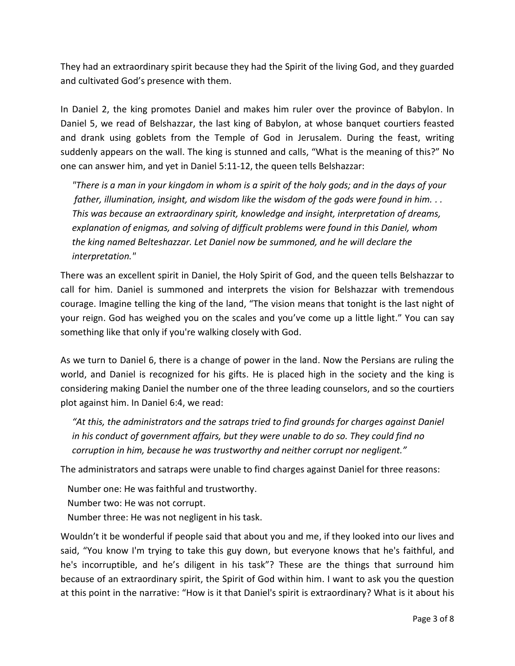They had an extraordinary spirit because they had the Spirit of the living God, and they guarded and cultivated God's presence with them.

In Daniel 2, the king promotes Daniel and makes him ruler over the province of Babylon. In Daniel 5, we read of Belshazzar, the last king of Babylon, at whose banquet courtiers feasted and drank using goblets from the Temple of God in Jerusalem. During the feast, writing suddenly appears on the wall. The king is stunned and calls, "What is the meaning of this?" No one can answer him, and yet in Daniel 5:11-12, the queen tells Belshazzar:

 *"There is a man in your kingdom in whom is a spirit of the holy gods; and in the days of your father, illumination, insight, and wisdom like the wisdom of the gods were found in him. . . This was because an extraordinary spirit, knowledge and insight, interpretation of dreams,*  explanation of enigmas, and solving of difficult problems were found in this Daniel, whom  *the king named Belteshazzar. Let Daniel now be summoned, and he will declare the interpretation."*

There was an excellent spirit in Daniel, the Holy Spirit of God, and the queen tells Belshazzar to call for him. Daniel is summoned and interprets the vision for Belshazzar with tremendous courage. Imagine telling the king of the land, "The vision means that tonight is the last night of your reign. God has weighed you on the scales and you've come up a little light." You can say something like that only if you're walking closely with God.

As we turn to Daniel 6, there is a change of power in the land. Now the Persians are ruling the world, and Daniel is recognized for his gifts. He is placed high in the society and the king is considering making Daniel the number one of the three leading counselors, and so the courtiers plot against him. In Daniel 6:4, we read:

 *"At this, the administrators and the satraps tried to find grounds for charges against Daniel in his conduct of government affairs, but they were unable to do so. They could find no corruption in him, because he was trustworthy and neither corrupt nor negligent."*

The administrators and satraps were unable to find charges against Daniel for three reasons:

Number one: He was faithful and trustworthy.

Number two: He was not corrupt.

Number three: He was not negligent in his task.

Wouldn't it be wonderful if people said that about you and me, if they looked into our lives and said, "You know I'm trying to take this guy down, but everyone knows that he's faithful, and he's incorruptible, and he's diligent in his task"? These are the things that surround him because of an extraordinary spirit, the Spirit of God within him. I want to ask you the question at this point in the narrative: "How is it that Daniel's spirit is extraordinary? What is it about his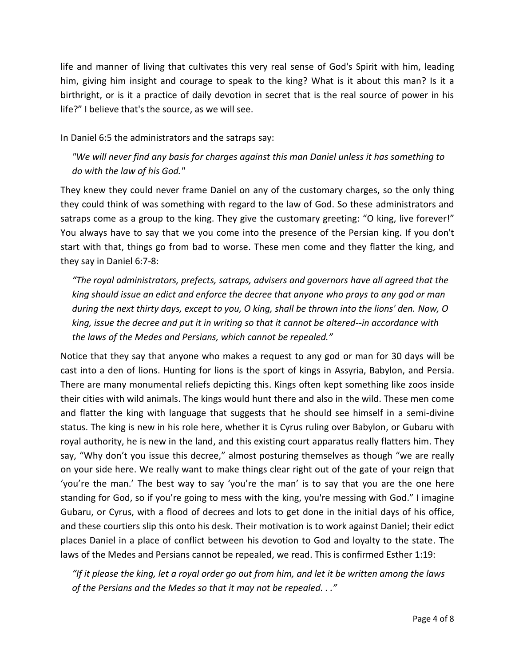life and manner of living that cultivates this very real sense of God's Spirit with him, leading him, giving him insight and courage to speak to the king? What is it about this man? Is it a birthright, or is it a practice of daily devotion in secret that is the real source of power in his life?" I believe that's the source, as we will see.

In Daniel 6:5 the administrators and the satraps say:

 *"We will never find any basis for charges against this man Daniel unless it has something to do with the law of his God."*

They knew they could never frame Daniel on any of the customary charges, so the only thing they could think of was something with regard to the law of God. So these administrators and satraps come as a group to the king. They give the customary greeting: "O king, live forever!" You always have to say that we you come into the presence of the Persian king. If you don't start with that, things go from bad to worse. These men come and they flatter the king, and they say in Daniel 6:7-8:

 *"The royal administrators, prefects, satraps, advisers and governors have all agreed that the king should issue an edict and enforce the decree that anyone who prays to any god or man during the next thirty days, except to you, O king, shall be thrown into the lions' den. Now, O king, issue the decree and put it in writing so that it cannot be altered--in accordance with the laws of the Medes and Persians, which cannot be repealed."*

Notice that they say that anyone who makes a request to any god or man for 30 days will be cast into a den of lions. Hunting for lions is the sport of kings in Assyria, Babylon, and Persia. There are many monumental reliefs depicting this. Kings often kept something like zoos inside their cities with wild animals. The kings would hunt there and also in the wild. These men come and flatter the king with language that suggests that he should see himself in a semi-divine status. The king is new in his role here, whether it is Cyrus ruling over Babylon, or Gubaru with royal authority, he is new in the land, and this existing court apparatus really flatters him. They say, "Why don't you issue this decree," almost posturing themselves as though "we are really on your side here. We really want to make things clear right out of the gate of your reign that 'you're the man.' The best way to say 'you're the man' is to say that you are the one here standing for God, so if you're going to mess with the king, you're messing with God." I imagine Gubaru, or Cyrus, with a flood of decrees and lots to get done in the initial days of his office, and these courtiers slip this onto his desk. Their motivation is to work against Daniel; their edict places Daniel in a place of conflict between his devotion to God and loyalty to the state. The laws of the Medes and Persians cannot be repealed, we read. This is confirmed Esther 1:19:

 *"If it please the king, let a royal order go out from him, and let it be written among the laws of the Persians and the Medes so that it may not be repealed. . ."*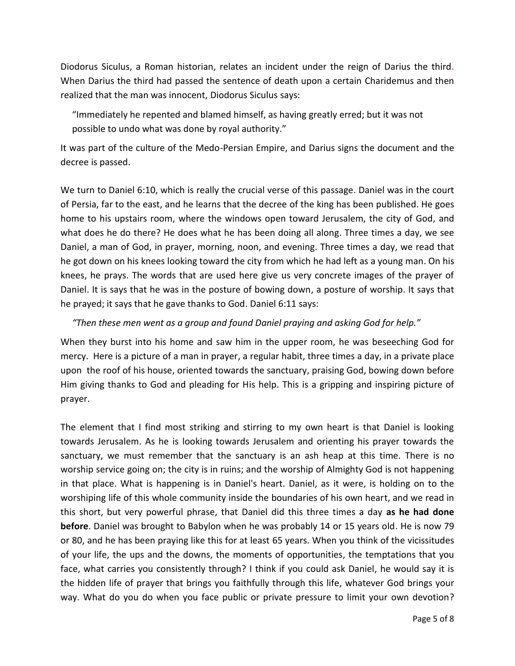Diodorus Siculus, a Roman historian, relates an incident under the reign of Darius the third. When Darius the third had passed the sentence of death upon a certain Charidemus and then realized that the man was innocent, Diodorus Siculus says:

 "Immediately he repented and blamed himself, as having greatly erred; but it was not possible to undo what was done by royal authority."

It was part of the culture of the Medo-Persian Empire, and Darius signs the document and the decree is passed.

We turn to Daniel 6:10, which is really the crucial verse of this passage. Daniel was in the court of Persia, far to the east, and he learns that the decree of the king has been published. He goes home to his upstairs room, where the windows open toward Jerusalem, the city of God, and what does he do there? He does what he has been doing all along. Three times a day, we see Daniel, a man of God, in prayer, morning, noon, and evening. Three times a day, we read that he got down on his knees looking toward the city from which he had left as a young man. On his knees, he prays. The words that are used here give us very concrete images of the prayer of Daniel. It is says that he was in the posture of bowing down, a posture of worship. It says that he prayed; it says that he gave thanks to God. Daniel 6:11 says:

## *"Then these men went as a group and found Daniel praying and asking God for help."*

When they burst into his home and saw him in the upper room, he was beseeching God for mercy. Here is a picture of a man in prayer, a regular habit, three times a day, in a private place upon the roof of his house, oriented towards the sanctuary, praising God, bowing down before Him giving thanks to God and pleading for His help. This is a gripping and inspiring picture of prayer.

The element that I find most striking and stirring to my own heart is that Daniel is looking towards Jerusalem. As he is looking towards Jerusalem and orienting his prayer towards the sanctuary, we must remember that the sanctuary is an ash heap at this time. There is no worship service going on; the city is in ruins; and the worship of Almighty God is not happening in that place. What is happening is in Daniel's heart. Daniel, as it were, is holding on to the worshiping life of this whole community inside the boundaries of his own heart, and we read in this short, but very powerful phrase, that Daniel did this three times a day **as he had done before**. Daniel was brought to Babylon when he was probably 14 or 15 years old. He is now 79 or 80, and he has been praying like this for at least 65 years. When you think of the vicissitudes of your life, the ups and the downs, the moments of opportunities, the temptations that you face, what carries you consistently through? I think if you could ask Daniel, he would say it is the hidden life of prayer that brings you faithfully through this life, whatever God brings your way. What do you do when you face public or private pressure to limit your own devotion?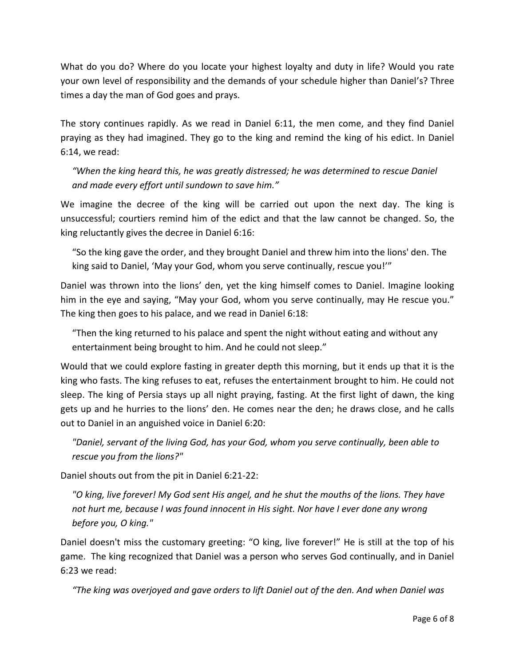What do you do? Where do you locate your highest loyalty and duty in life? Would you rate your own level of responsibility and the demands of your schedule higher than Daniel's? Three times a day the man of God goes and prays.

The story continues rapidly. As we read in Daniel 6:11, the men come, and they find Daniel praying as they had imagined. They go to the king and remind the king of his edict. In Daniel 6:14, we read:

 *"When the king heard this, he was greatly distressed; he was determined to rescue Daniel and made every effort until sundown to save him."* 

We imagine the decree of the king will be carried out upon the next day. The king is unsuccessful; courtiers remind him of the edict and that the law cannot be changed. So, the king reluctantly gives the decree in Daniel 6:16:

 "So the king gave the order, and they brought Daniel and threw him into the lions' den. The king said to Daniel, 'May your God, whom you serve continually, rescue you!'"

Daniel was thrown into the lions' den, yet the king himself comes to Daniel. Imagine looking him in the eye and saying, "May your God, whom you serve continually, may He rescue you." The king then goes to his palace, and we read in Daniel 6:18:

 "Then the king returned to his palace and spent the night without eating and without any entertainment being brought to him. And he could not sleep."

Would that we could explore fasting in greater depth this morning, but it ends up that it is the king who fasts. The king refuses to eat, refuses the entertainment brought to him. He could not sleep. The king of Persia stays up all night praying, fasting. At the first light of dawn, the king gets up and he hurries to the lions' den. He comes near the den; he draws close, and he calls out to Daniel in an anguished voice in Daniel 6:20:

 *"Daniel, servant of the living God, has your God, whom you serve continually, been able to rescue you from the lions?"*

Daniel shouts out from the pit in Daniel 6:21-22:

 *"O king, live forever! My God sent His angel, and he shut the mouths of the lions. They have not hurt me, because I was found innocent in His sight. Nor have I ever done any wrong before you, O king."*

Daniel doesn't miss the customary greeting: "O king, live forever!" He is still at the top of his game. The king recognized that Daniel was a person who serves God continually, and in Daniel 6:23 we read:

*"The king was overjoyed and gave orders to lift Daniel out of the den. And when Daniel was*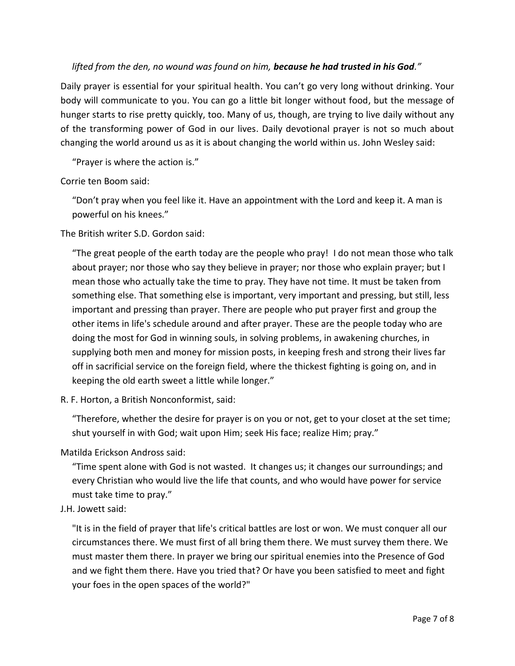# *lifted from the den, no wound was found on him, because he had trusted in his God."*

Daily prayer is essential for your spiritual health. You can't go very long without drinking. Your body will communicate to you. You can go a little bit longer without food, but the message of hunger starts to rise pretty quickly, too. Many of us, though, are trying to live daily without any of the transforming power of God in our lives. Daily devotional prayer is not so much about changing the world around us as it is about changing the world within us. John Wesley said:

"Prayer is where the action is."

Corrie ten Boom said:

 "Don't pray when you feel like it. Have an appointment with the Lord and keep it. A man is powerful on his knees."

The British writer S.D. Gordon said:

 "The great people of the earth today are the people who pray! I do not mean those who talk about prayer; nor those who say they believe in prayer; nor those who explain prayer; but I mean those who actually take the time to pray. They have not time. It must be taken from something else. That something else is important, very important and pressing, but still, less important and pressing than prayer. There are people who put prayer first and group the other items in life's schedule around and after prayer. These are the people today who are doing the most for God in winning souls, in solving problems, in awakening churches, in supplying both men and money for mission posts, in keeping fresh and strong their lives far off in sacrificial service on the foreign field, where the thickest fighting is going on, and in keeping the old earth sweet a little while longer."

R. F. Horton, a British Nonconformist, said:

 "Therefore, whether the desire for prayer is on you or not, get to your closet at the set time; shut yourself in with God; wait upon Him; seek His face; realize Him; pray."

Matilda Erickson Andross said:

 "Time spent alone with God is not wasted. It changes us; it changes our surroundings; and every Christian who would live the life that counts, and who would have power for service must take time to pray."

## J.H. Jowett said:

 "It is in the field of prayer that life's critical battles are lost or won. We must conquer all our circumstances there. We must first of all bring them there. We must survey them there. We must master them there. In prayer we bring our spiritual enemies into the Presence of God and we fight them there. Have you tried that? Or have you been satisfied to meet and fight your foes in the open spaces of the world?"